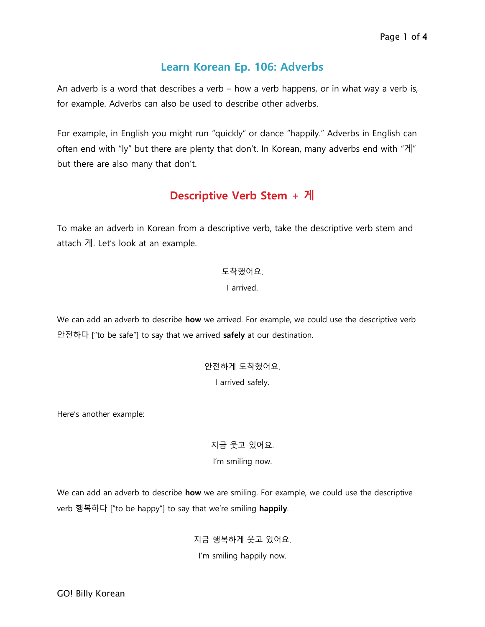### **Learn Korean Ep. 106: Adverbs**

An adverb is a word that describes a verb – how a verb happens, or in what way a verb is, for example. Adverbs can also be used to describe other adverbs.

For example, in English you might run "quickly" or dance "happily." Adverbs in English can often end with "ly" but there are plenty that don't. In Korean, many adverbs end with "게" but there are also many that don't.

## **Descriptive Verb Stem + 게**

To make an adverb in Korean from a descriptive verb, take the descriptive verb stem and attach 게. Let's look at an example.

#### 도착했어요.

I arrived.

We can add an adverb to describe **how** we arrived. For example, we could use the descriptive verb 안전하다 ["to be safe"] to say that we arrived **safely** at our destination.

> 안전하게 도착했어요. I arrived safely.

Here's another example:

지금 웃고 있어요. I'm smiling now.

We can add an adverb to describe **how** we are smiling. For example, we could use the descriptive verb 행복하다 ["to be happy"] to say that we're smiling **happily**.

> 지금 행복하게 웃고 있어요. I'm smiling happily now.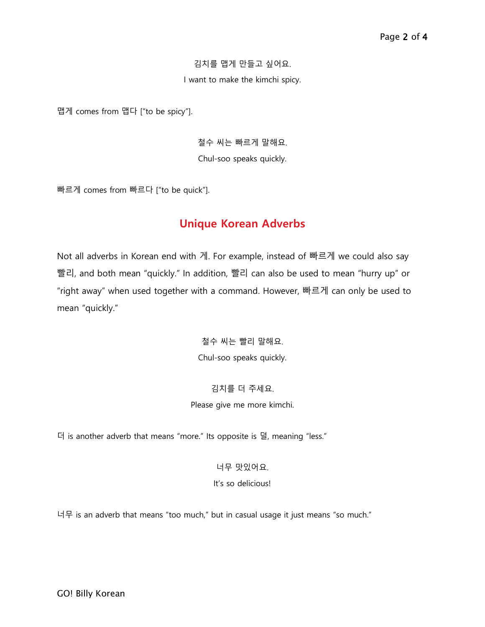#### 김치를 맵게 만들고 싶어요.

I want to make the kimchi spicy.

맵게 comes from 맵다 ["to be spicy"].

철수 씨는 빠르게 말해요. Chul-soo speaks quickly.

빠르게 comes from 빠르다 ["to be quick"].

### **Unique Korean Adverbs**

Not all adverbs in Korean end with 게. For example, instead of 빠르게 we could also say 빨리, and both mean "quickly." In addition, 빨리 can also be used to mean "hurry up" or "right away" when used together with a command. However, 빠르게 can only be used to mean "quickly."

> 철수 씨는 빨리 말해요. Chul-soo speaks quickly.

#### 김치를 더 주세요.

#### Please give me more kimchi.

더 is another adverb that means "more." Its opposite is 덜, meaning "less."

너무 맛있어요. It's so delicious!

너무 is an adverb that means "too much," but in casual usage it just means "so much."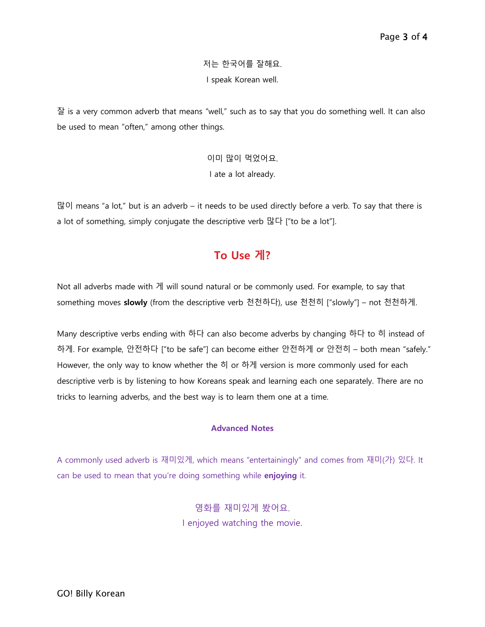저는 한국어를 잘해요. I speak Korean well.

잘 is a very common adverb that means "well," such as to say that you do something well. It can also be used to mean "often," among other things.

> 이미 많이 먹었어요. I ate a lot already.

많이 means "a lot," but is an adverb – it needs to be used directly before a verb. To say that there is a lot of something, simply conjugate the descriptive verb 많다 ["to be a lot"].

## **To Use 게?**

Not all adverbs made with 게 will sound natural or be commonly used. For example, to say that something moves **slowly** (from the descriptive verb 천천하다), use 천천히 ["slowly"] – not 천천하게.

Many descriptive verbs ending with 하다 can also become adverbs by changing 하다 to 히 instead of 하게. For example, 안전하다 ["to be safe"] can become either 안전하게 or 안전히 – both mean "safely." However, the only way to know whether the 히 or 하게 version is more commonly used for each descriptive verb is by listening to how Koreans speak and learning each one separately. There are no tricks to learning adverbs, and the best way is to learn them one at a time.

#### **Advanced Notes**

A commonly used adverb is 재미있게, which means "entertainingly" and comes from 재미(가) 있다. It can be used to mean that you're doing something while **enjoying** it.

> 영화를 재미있게 봤어요. I enjoyed watching the movie.